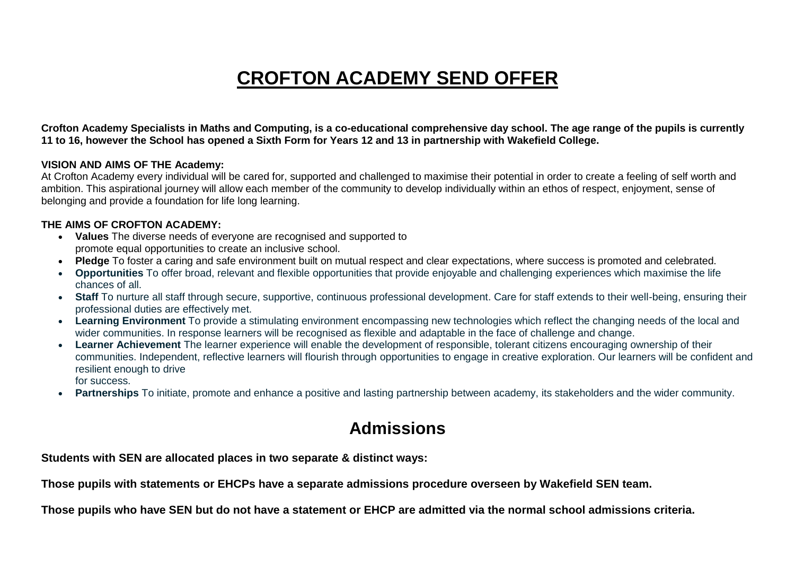# **CROFTON ACADEMY SEND OFFER**

**Crofton Academy Specialists in Maths and Computing, is a co-educational comprehensive day school. The age range of the pupils is currently 11 to 16, however the School has opened a Sixth Form for Years 12 and 13 in partnership with Wakefield College.**

#### **VISION AND AIMS OF THE Academy:**

At Crofton Academy every individual will be cared for, supported and challenged to maximise their potential in order to create a feeling of self worth and ambition. This aspirational journey will allow each member of the community to develop individually within an ethos of respect, enjoyment, sense of belonging and provide a foundation for life long learning.

### **THE AIMS OF CROFTON ACADEMY:**

- **Values** The diverse needs of everyone are recognised and supported to promote equal opportunities to create an inclusive school.
- **Pledge** To foster a caring and safe environment built on mutual respect and clear expectations, where success is promoted and celebrated.
- **Opportunities** To offer broad, relevant and flexible opportunities that provide enjoyable and challenging experiences which maximise the life chances of all.
- **Staff** To nurture all staff through secure, supportive, continuous professional development. Care for staff extends to their well-being, ensuring their professional duties are effectively met.
- **Learning Environment** To provide a stimulating environment encompassing new technologies which reflect the changing needs of the local and wider communities. In response learners will be recognised as flexible and adaptable in the face of challenge and change.
- **Learner Achievement** The learner experience will enable the development of responsible, tolerant citizens encouraging ownership of their communities. Independent, reflective learners will flourish through opportunities to engage in creative exploration. Our learners will be confident and resilient enough to drive
	- for success.
- **Partnerships** To initiate, promote and enhance a positive and lasting partnership between academy, its stakeholders and the wider community.

# **Admissions**

**Students with SEN are allocated places in two separate & distinct ways:**

**Those pupils with statements or EHCPs have a separate admissions procedure overseen by Wakefield SEN team.**

**Those pupils who have SEN but do not have a statement or EHCP are admitted via the normal school admissions criteria.**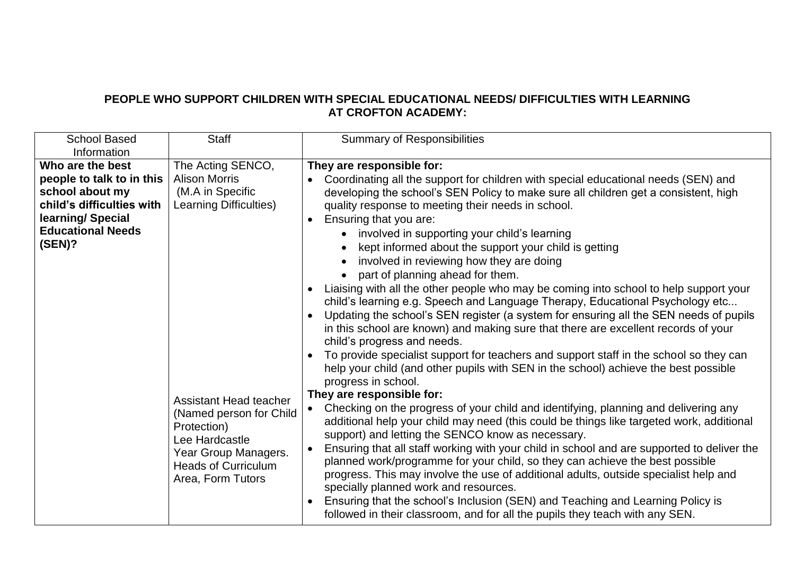## **PEOPLE WHO SUPPORT CHILDREN WITH SPECIAL EDUCATIONAL NEEDS/ DIFFICULTIES WITH LEARNING AT CROFTON ACADEMY:**

| <b>School Based</b>       | <b>Staff</b>                                                            | <b>Summary of Responsibilities</b>                                                                                                                                                                                                                                                                          |
|---------------------------|-------------------------------------------------------------------------|-------------------------------------------------------------------------------------------------------------------------------------------------------------------------------------------------------------------------------------------------------------------------------------------------------------|
| Information               |                                                                         |                                                                                                                                                                                                                                                                                                             |
| Who are the best          | The Acting SENCO,                                                       | They are responsible for:                                                                                                                                                                                                                                                                                   |
| people to talk to in this | <b>Alison Morris</b>                                                    | Coordinating all the support for children with special educational needs (SEN) and                                                                                                                                                                                                                          |
| school about my           | (M.A in Specific                                                        | developing the school's SEN Policy to make sure all children get a consistent, high                                                                                                                                                                                                                         |
| child's difficulties with | <b>Learning Difficulties)</b>                                           | quality response to meeting their needs in school.                                                                                                                                                                                                                                                          |
| learning/Special          |                                                                         | Ensuring that you are:<br>$\bullet$                                                                                                                                                                                                                                                                         |
| <b>Educational Needs</b>  |                                                                         | involved in supporting your child's learning                                                                                                                                                                                                                                                                |
| (SEN)?                    |                                                                         | kept informed about the support your child is getting                                                                                                                                                                                                                                                       |
|                           |                                                                         | involved in reviewing how they are doing<br>$\bullet$                                                                                                                                                                                                                                                       |
|                           |                                                                         | part of planning ahead for them.                                                                                                                                                                                                                                                                            |
|                           |                                                                         | Liaising with all the other people who may be coming into school to help support your<br>child's learning e.g. Speech and Language Therapy, Educational Psychology etc<br>Updating the school's SEN register (a system for ensuring all the SEN needs of pupils                                             |
|                           |                                                                         | in this school are known) and making sure that there are excellent records of your<br>child's progress and needs.                                                                                                                                                                                           |
|                           |                                                                         | To provide specialist support for teachers and support staff in the school so they can<br>help your child (and other pupils with SEN in the school) achieve the best possible<br>progress in school.                                                                                                        |
|                           | Assistant Head teacher                                                  | They are responsible for:                                                                                                                                                                                                                                                                                   |
|                           | (Named person for Child<br>Protection)<br>Lee Hardcastle                | Checking on the progress of your child and identifying, planning and delivering any<br>$\bullet$<br>additional help your child may need (this could be things like targeted work, additional<br>support) and letting the SENCO know as necessary.                                                           |
|                           | Year Group Managers.<br><b>Heads of Curriculum</b><br>Area, Form Tutors | Ensuring that all staff working with your child in school and are supported to deliver the<br>planned work/programme for your child, so they can achieve the best possible<br>progress. This may involve the use of additional adults, outside specialist help and<br>specially planned work and resources. |
|                           |                                                                         | Ensuring that the school's Inclusion (SEN) and Teaching and Learning Policy is<br>followed in their classroom, and for all the pupils they teach with any SEN.                                                                                                                                              |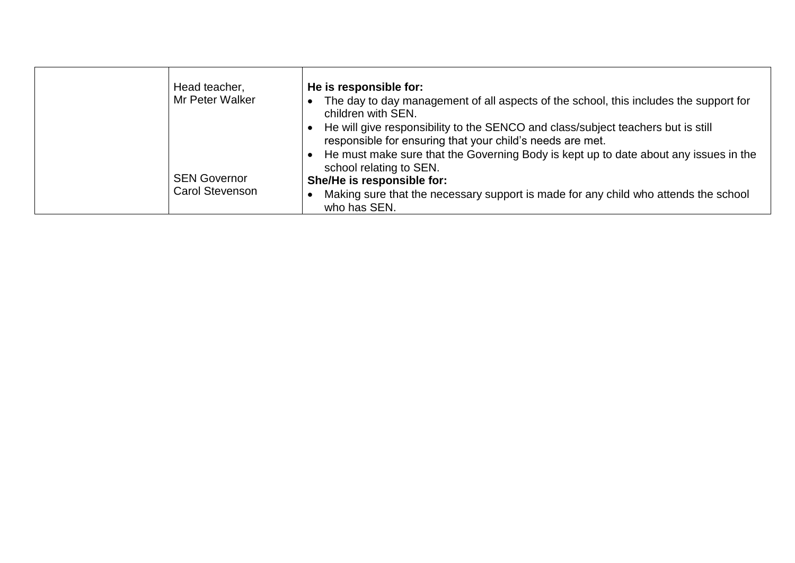| Head teacher,          | He is responsible for:                                                                                                                        |
|------------------------|-----------------------------------------------------------------------------------------------------------------------------------------------|
|                        |                                                                                                                                               |
| <b>Mr Peter Walker</b> | The day to day management of all aspects of the school, this includes the support for<br>children with SEN.                                   |
|                        | He will give responsibility to the SENCO and class/subject teachers but is still<br>responsible for ensuring that your child's needs are met. |
|                        | • He must make sure that the Governing Body is kept up to date about any issues in the<br>school relating to SEN.                             |
| <b>SEN Governor</b>    | She/He is responsible for:                                                                                                                    |
| <b>Carol Stevenson</b> | Making sure that the necessary support is made for any child who attends the school<br>who has SEN.                                           |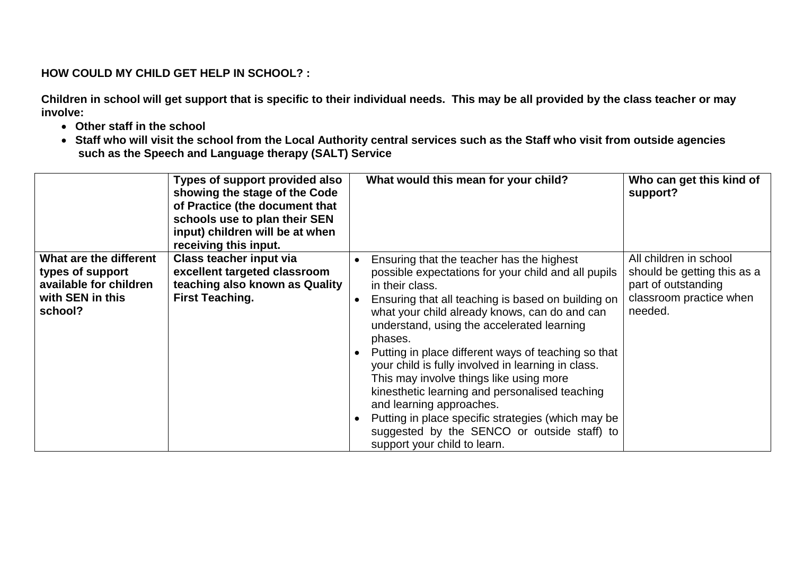### **HOW COULD MY CHILD GET HELP IN SCHOOL? :**

**Children in school will get support that is specific to their individual needs. This may be all provided by the class teacher or may involve:** 

- **Other staff in the school**
- **Staff who will visit the school from the Local Authority central services such as the Staff who visit from outside agencies such as the Speech and Language therapy (SALT) Service**

|                                                                                                     | Types of support provided also<br>showing the stage of the Code<br>of Practice (the document that<br>schools use to plan their SEN<br>input) children will be at when<br>receiving this input. | What would this mean for your child?                                                                                                                                                                                                                                                                                                                                                                                                                                                                                                                                                                                                                           | Who can get this kind of<br>support?                                                                               |
|-----------------------------------------------------------------------------------------------------|------------------------------------------------------------------------------------------------------------------------------------------------------------------------------------------------|----------------------------------------------------------------------------------------------------------------------------------------------------------------------------------------------------------------------------------------------------------------------------------------------------------------------------------------------------------------------------------------------------------------------------------------------------------------------------------------------------------------------------------------------------------------------------------------------------------------------------------------------------------------|--------------------------------------------------------------------------------------------------------------------|
| What are the different<br>types of support<br>available for children<br>with SEN in this<br>school? | <b>Class teacher input via</b><br>excellent targeted classroom<br>teaching also known as Quality<br><b>First Teaching.</b>                                                                     | Ensuring that the teacher has the highest<br>possible expectations for your child and all pupils<br>in their class.<br>Ensuring that all teaching is based on building on<br>what your child already knows, can do and can<br>understand, using the accelerated learning<br>phases.<br>Putting in place different ways of teaching so that<br>your child is fully involved in learning in class.<br>This may involve things like using more<br>kinesthetic learning and personalised teaching<br>and learning approaches.<br>Putting in place specific strategies (which may be<br>suggested by the SENCO or outside staff) to<br>support your child to learn. | All children in school<br>should be getting this as a<br>part of outstanding<br>classroom practice when<br>needed. |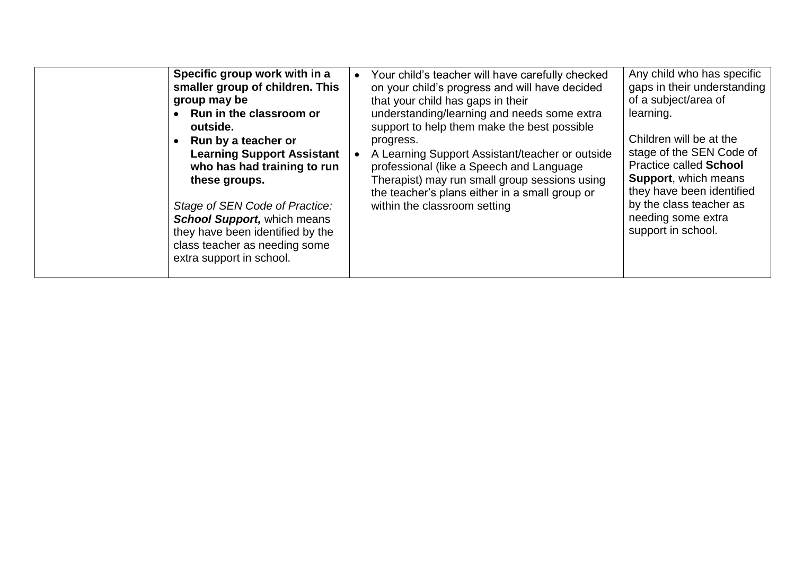| Specific group work with in a<br>smaller group of children. This<br>group may be<br>Run in the classroom or<br>outside.<br>Run by a teacher or<br><b>Learning Support Assistant</b><br>who has had training to run<br>these groups.<br>Stage of SEN Code of Practice:<br><b>School Support, which means</b><br>they have been identified by the<br>class teacher as needing some<br>extra support in school. | $\bullet$ | Your child's teacher will have carefully checked<br>on your child's progress and will have decided<br>that your child has gaps in their<br>understanding/learning and needs some extra<br>support to help them make the best possible<br>progress.<br>A Learning Support Assistant/teacher or outside<br>professional (like a Speech and Language<br>Therapist) may run small group sessions using<br>the teacher's plans either in a small group or<br>within the classroom setting | Any child who has specific<br>gaps in their understanding<br>of a subject/area of<br>learning.<br>Children will be at the<br>stage of the SEN Code of<br><b>Practice called School</b><br><b>Support, which means</b><br>they have been identified<br>by the class teacher as<br>needing some extra<br>support in school. |
|--------------------------------------------------------------------------------------------------------------------------------------------------------------------------------------------------------------------------------------------------------------------------------------------------------------------------------------------------------------------------------------------------------------|-----------|--------------------------------------------------------------------------------------------------------------------------------------------------------------------------------------------------------------------------------------------------------------------------------------------------------------------------------------------------------------------------------------------------------------------------------------------------------------------------------------|---------------------------------------------------------------------------------------------------------------------------------------------------------------------------------------------------------------------------------------------------------------------------------------------------------------------------|
|--------------------------------------------------------------------------------------------------------------------------------------------------------------------------------------------------------------------------------------------------------------------------------------------------------------------------------------------------------------------------------------------------------------|-----------|--------------------------------------------------------------------------------------------------------------------------------------------------------------------------------------------------------------------------------------------------------------------------------------------------------------------------------------------------------------------------------------------------------------------------------------------------------------------------------------|---------------------------------------------------------------------------------------------------------------------------------------------------------------------------------------------------------------------------------------------------------------------------------------------------------------------------|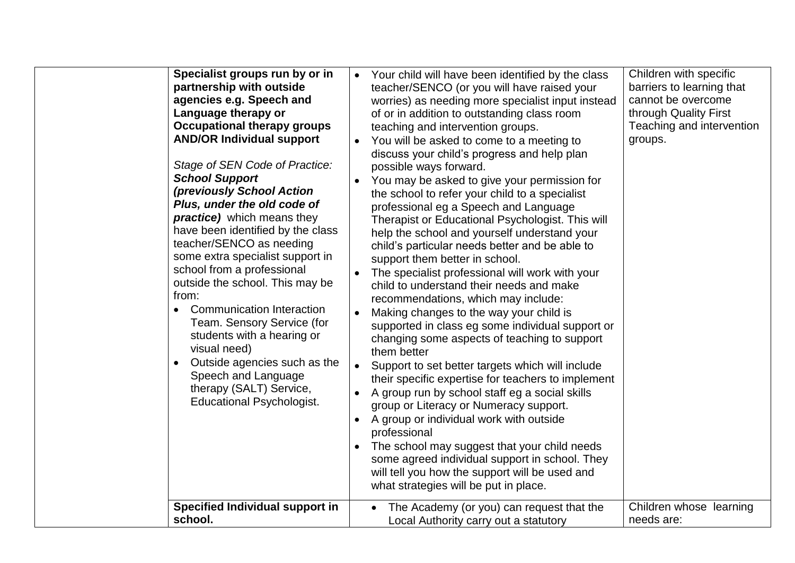| Specialist groups run by or in<br>partnership with outside<br>agencies e.g. Speech and<br>Language therapy or<br><b>Occupational therapy groups</b><br><b>AND/OR Individual support</b><br>Stage of SEN Code of Practice:<br><b>School Support</b><br>(previously School Action<br>Plus, under the old code of<br>practice) which means they<br>have been identified by the class<br>teacher/SENCO as needing<br>some extra specialist support in<br>school from a professional<br>outside the school. This may be<br>from:<br><b>Communication Interaction</b><br>$\bullet$<br>Team. Sensory Service (for<br>students with a hearing or<br>visual need)<br>Outside agencies such as the<br>Speech and Language<br>therapy (SALT) Service,<br><b>Educational Psychologist.</b><br><b>Specified Individual support in</b> | Children with specific<br>Your child will have been identified by the class<br>barriers to learning that<br>teacher/SENCO (or you will have raised your<br>cannot be overcome<br>worries) as needing more specialist input instead<br>through Quality First<br>of or in addition to outstanding class room<br>Teaching and intervention<br>teaching and intervention groups.<br>You will be asked to come to a meeting to<br>groups.<br>discuss your child's progress and help plan<br>possible ways forward.<br>You may be asked to give your permission for<br>$\bullet$<br>the school to refer your child to a specialist<br>professional eg a Speech and Language<br>Therapist or Educational Psychologist. This will<br>help the school and yourself understand your<br>child's particular needs better and be able to<br>support them better in school.<br>The specialist professional will work with your<br>$\bullet$<br>child to understand their needs and make<br>recommendations, which may include:<br>Making changes to the way your child is<br>$\bullet$<br>supported in class eg some individual support or<br>changing some aspects of teaching to support<br>them better<br>Support to set better targets which will include<br>$\bullet$<br>their specific expertise for teachers to implement<br>A group run by school staff eg a social skills<br>group or Literacy or Numeracy support.<br>A group or individual work with outside<br>$\bullet$<br>professional<br>The school may suggest that your child needs<br>some agreed individual support in school. They<br>will tell you how the support will be used and<br>what strategies will be put in place.<br>Children whose learning<br>The Academy (or you) can request that the |
|--------------------------------------------------------------------------------------------------------------------------------------------------------------------------------------------------------------------------------------------------------------------------------------------------------------------------------------------------------------------------------------------------------------------------------------------------------------------------------------------------------------------------------------------------------------------------------------------------------------------------------------------------------------------------------------------------------------------------------------------------------------------------------------------------------------------------|-------------------------------------------------------------------------------------------------------------------------------------------------------------------------------------------------------------------------------------------------------------------------------------------------------------------------------------------------------------------------------------------------------------------------------------------------------------------------------------------------------------------------------------------------------------------------------------------------------------------------------------------------------------------------------------------------------------------------------------------------------------------------------------------------------------------------------------------------------------------------------------------------------------------------------------------------------------------------------------------------------------------------------------------------------------------------------------------------------------------------------------------------------------------------------------------------------------------------------------------------------------------------------------------------------------------------------------------------------------------------------------------------------------------------------------------------------------------------------------------------------------------------------------------------------------------------------------------------------------------------------------------------------------------------------------------------------------------------------------------------------------|
| school.                                                                                                                                                                                                                                                                                                                                                                                                                                                                                                                                                                                                                                                                                                                                                                                                                  | needs are:<br>Local Authority carry out a statutory                                                                                                                                                                                                                                                                                                                                                                                                                                                                                                                                                                                                                                                                                                                                                                                                                                                                                                                                                                                                                                                                                                                                                                                                                                                                                                                                                                                                                                                                                                                                                                                                                                                                                                         |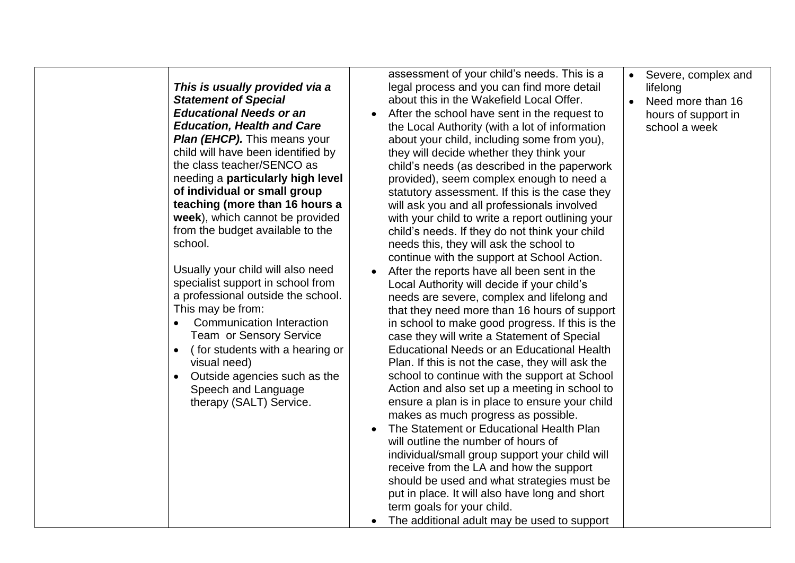|                                                                   | assessment of your child's needs. This is a                                                    |           | Severe, complex and |
|-------------------------------------------------------------------|------------------------------------------------------------------------------------------------|-----------|---------------------|
| This is usually provided via a                                    | legal process and you can find more detail                                                     |           | lifelong            |
| <b>Statement of Special</b><br><b>Educational Needs or an</b>     | about this in the Wakefield Local Offer.<br>After the school have sent in the request to       | $\bullet$ | Need more than 16   |
| <b>Education, Health and Care</b>                                 |                                                                                                |           | hours of support in |
| <b>Plan (EHCP).</b> This means your                               | the Local Authority (with a lot of information                                                 |           | school a week       |
| child will have been identified by                                | about your child, including some from you),                                                    |           |                     |
| the class teacher/SENCO as                                        | they will decide whether they think your                                                       |           |                     |
|                                                                   | child's needs (as described in the paperwork                                                   |           |                     |
| needing a particularly high level<br>of individual or small group | provided), seem complex enough to need a                                                       |           |                     |
| teaching (more than 16 hours a                                    | statutory assessment. If this is the case they                                                 |           |                     |
| week), which cannot be provided                                   | will ask you and all professionals involved                                                    |           |                     |
| from the budget available to the                                  | with your child to write a report outlining your                                               |           |                     |
| school.                                                           | child's needs. If they do not think your child                                                 |           |                     |
|                                                                   | needs this, they will ask the school to                                                        |           |                     |
| Usually your child will also need                                 | continue with the support at School Action.                                                    |           |                     |
| specialist support in school from                                 | After the reports have all been sent in the                                                    |           |                     |
| a professional outside the school.                                | Local Authority will decide if your child's                                                    |           |                     |
| This may be from:                                                 | needs are severe, complex and lifelong and<br>that they need more than 16 hours of support     |           |                     |
| <b>Communication Interaction</b><br>$\bullet$                     |                                                                                                |           |                     |
| Team or Sensory Service                                           | in school to make good progress. If this is the<br>case they will write a Statement of Special |           |                     |
| (for students with a hearing or                                   | Educational Needs or an Educational Health                                                     |           |                     |
| $\bullet$<br>visual need)                                         |                                                                                                |           |                     |
|                                                                   | Plan. If this is not the case, they will ask the                                               |           |                     |
| Outside agencies such as the<br>$\bullet$                         | school to continue with the support at School                                                  |           |                     |
| Speech and Language                                               | Action and also set up a meeting in school to                                                  |           |                     |
| therapy (SALT) Service.                                           | ensure a plan is in place to ensure your child                                                 |           |                     |
|                                                                   | makes as much progress as possible.                                                            |           |                     |
|                                                                   | The Statement or Educational Health Plan                                                       |           |                     |
|                                                                   | will outline the number of hours of                                                            |           |                     |
|                                                                   | individual/small group support your child will                                                 |           |                     |
|                                                                   | receive from the LA and how the support                                                        |           |                     |
|                                                                   | should be used and what strategies must be                                                     |           |                     |
|                                                                   | put in place. It will also have long and short                                                 |           |                     |
|                                                                   | term goals for your child.                                                                     |           |                     |
|                                                                   | The additional adult may be used to support                                                    |           |                     |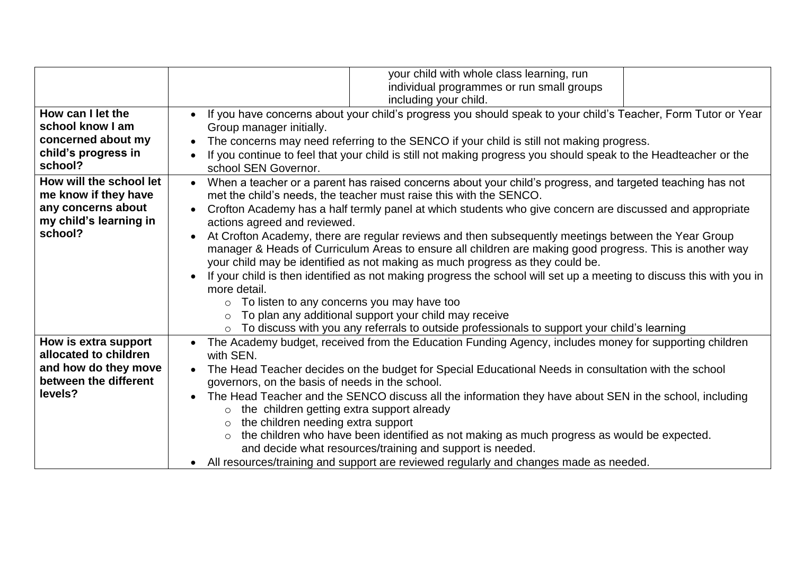|                         | your child with whole class learning, run                                                                              |  |  |  |
|-------------------------|------------------------------------------------------------------------------------------------------------------------|--|--|--|
|                         | individual programmes or run small groups                                                                              |  |  |  |
|                         | including your child.                                                                                                  |  |  |  |
| How can I let the       | If you have concerns about your child's progress you should speak to your child's Teacher, Form Tutor or Year          |  |  |  |
| school know I am        | Group manager initially.                                                                                               |  |  |  |
| concerned about my      | The concerns may need referring to the SENCO if your child is still not making progress.                               |  |  |  |
| child's progress in     | If you continue to feel that your child is still not making progress you should speak to the Headteacher or the        |  |  |  |
| school?                 | school SEN Governor.                                                                                                   |  |  |  |
| How will the school let | When a teacher or a parent has raised concerns about your child's progress, and targeted teaching has not<br>$\bullet$ |  |  |  |
| me know if they have    | met the child's needs, the teacher must raise this with the SENCO.                                                     |  |  |  |
| any concerns about      | Crofton Academy has a half termly panel at which students who give concern are discussed and appropriate               |  |  |  |
| my child's learning in  | actions agreed and reviewed.                                                                                           |  |  |  |
| school?                 | At Crofton Academy, there are regular reviews and then subsequently meetings between the Year Group                    |  |  |  |
|                         | manager & Heads of Curriculum Areas to ensure all children are making good progress. This is another way               |  |  |  |
|                         | your child may be identified as not making as much progress as they could be.                                          |  |  |  |
|                         | If your child is then identified as not making progress the school will set up a meeting to discuss this with you in   |  |  |  |
|                         | more detail.                                                                                                           |  |  |  |
|                         | $\circ$ To listen to any concerns you may have too                                                                     |  |  |  |
|                         | To plan any additional support your child may receive<br>$\circ$                                                       |  |  |  |
|                         | To discuss with you any referrals to outside professionals to support your child's learning<br>$\circ$                 |  |  |  |
| How is extra support    | The Academy budget, received from the Education Funding Agency, includes money for supporting children                 |  |  |  |
| allocated to children   | with SEN.                                                                                                              |  |  |  |
| and how do they move    | The Head Teacher decides on the budget for Special Educational Needs in consultation with the school                   |  |  |  |
| between the different   | governors, on the basis of needs in the school.                                                                        |  |  |  |
| levels?                 | The Head Teacher and the SENCO discuss all the information they have about SEN in the school, including                |  |  |  |
|                         | the children getting extra support already<br>$\circ$                                                                  |  |  |  |
|                         | the children needing extra support<br>$\circ$                                                                          |  |  |  |
|                         | the children who have been identified as not making as much progress as would be expected.<br>$\circ$                  |  |  |  |
|                         | and decide what resources/training and support is needed.                                                              |  |  |  |
|                         | • All resources/training and support are reviewed regularly and changes made as needed.                                |  |  |  |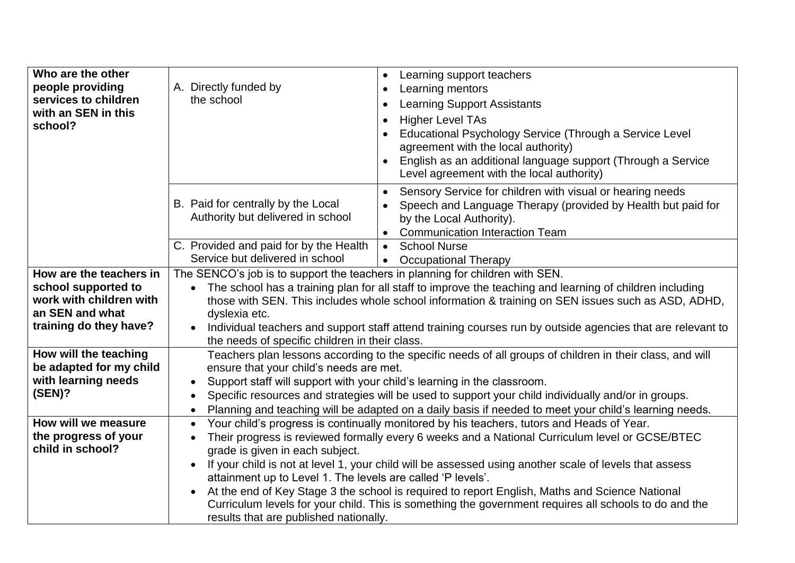| Who are the other<br>people providing<br>services to children<br>with an SEN in this<br>school? | A. Directly funded by<br>the school                                                                               | Learning support teachers<br>$\bullet$<br>Learning mentors<br>$\bullet$<br><b>Learning Support Assistants</b><br>$\bullet$<br><b>Higher Level TAs</b><br>$\bullet$<br>Educational Psychology Service (Through a Service Level<br>agreement with the local authority)<br>English as an additional language support (Through a Service<br>$\bullet$<br>Level agreement with the local authority) |  |
|-------------------------------------------------------------------------------------------------|-------------------------------------------------------------------------------------------------------------------|------------------------------------------------------------------------------------------------------------------------------------------------------------------------------------------------------------------------------------------------------------------------------------------------------------------------------------------------------------------------------------------------|--|
|                                                                                                 | B. Paid for centrally by the Local<br>Authority but delivered in school<br>C. Provided and paid for by the Health | Sensory Service for children with visual or hearing needs<br>$\bullet$<br>Speech and Language Therapy (provided by Health but paid for<br>by the Local Authority).<br><b>Communication Interaction Team</b><br><b>School Nurse</b><br>$\bullet$                                                                                                                                                |  |
|                                                                                                 | Service but delivered in school                                                                                   | <b>Occupational Therapy</b><br>$\bullet$                                                                                                                                                                                                                                                                                                                                                       |  |
| How are the teachers in                                                                         | The SENCO's job is to support the teachers in planning for children with SEN.                                     |                                                                                                                                                                                                                                                                                                                                                                                                |  |
| school supported to                                                                             |                                                                                                                   | The school has a training plan for all staff to improve the teaching and learning of children including                                                                                                                                                                                                                                                                                        |  |
| work with children with                                                                         |                                                                                                                   | those with SEN. This includes whole school information & training on SEN issues such as ASD, ADHD,                                                                                                                                                                                                                                                                                             |  |
| an SEN and what                                                                                 | dyslexia etc.                                                                                                     |                                                                                                                                                                                                                                                                                                                                                                                                |  |
| training do they have?                                                                          | the needs of specific children in their class.                                                                    | Individual teachers and support staff attend training courses run by outside agencies that are relevant to                                                                                                                                                                                                                                                                                     |  |
| How will the teaching                                                                           |                                                                                                                   | Teachers plan lessons according to the specific needs of all groups of children in their class, and will                                                                                                                                                                                                                                                                                       |  |
| be adapted for my child                                                                         | ensure that your child's needs are met.                                                                           |                                                                                                                                                                                                                                                                                                                                                                                                |  |
| with learning needs                                                                             | Support staff will support with your child's learning in the classroom.<br>$\bullet$                              |                                                                                                                                                                                                                                                                                                                                                                                                |  |
| (SEN)?                                                                                          | $\bullet$                                                                                                         | Specific resources and strategies will be used to support your child individually and/or in groups.                                                                                                                                                                                                                                                                                            |  |
|                                                                                                 | $\bullet$                                                                                                         | Planning and teaching will be adapted on a daily basis if needed to meet your child's learning needs.                                                                                                                                                                                                                                                                                          |  |
| How will we measure                                                                             | $\bullet$                                                                                                         | Your child's progress is continually monitored by his teachers, tutors and Heads of Year.                                                                                                                                                                                                                                                                                                      |  |
| the progress of your                                                                            | Their progress is reviewed formally every 6 weeks and a National Curriculum level or GCSE/BTEC<br>$\bullet$       |                                                                                                                                                                                                                                                                                                                                                                                                |  |
| child in school?                                                                                | grade is given in each subject.                                                                                   |                                                                                                                                                                                                                                                                                                                                                                                                |  |
|                                                                                                 | If your child is not at level 1, your child will be assessed using another scale of levels that assess            |                                                                                                                                                                                                                                                                                                                                                                                                |  |
|                                                                                                 | attainment up to Level 1. The levels are called 'P levels'.                                                       |                                                                                                                                                                                                                                                                                                                                                                                                |  |
|                                                                                                 | $\bullet$                                                                                                         | At the end of Key Stage 3 the school is required to report English, Maths and Science National                                                                                                                                                                                                                                                                                                 |  |
|                                                                                                 | Curriculum levels for your child. This is something the government requires all schools to do and the             |                                                                                                                                                                                                                                                                                                                                                                                                |  |
|                                                                                                 | results that are published nationally.                                                                            |                                                                                                                                                                                                                                                                                                                                                                                                |  |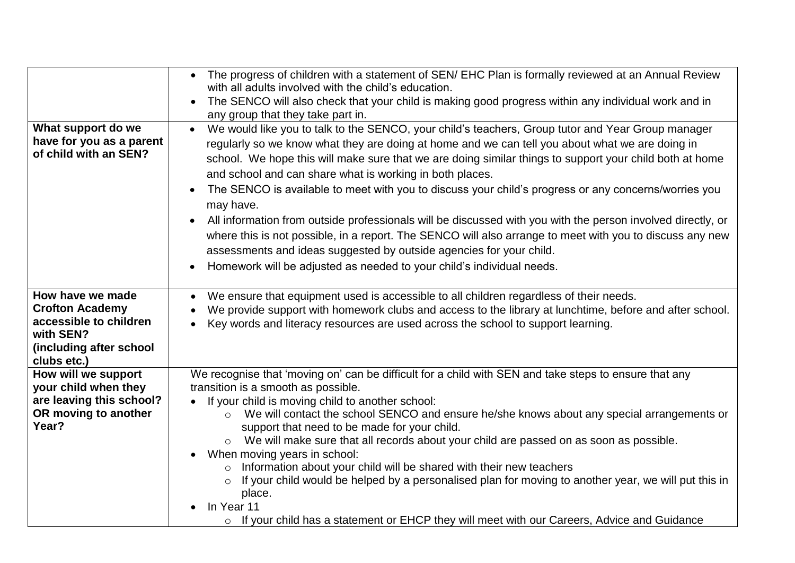|                                        | The progress of children with a statement of SEN/ EHC Plan is formally reviewed at an Annual Review<br>$\bullet$ |
|----------------------------------------|------------------------------------------------------------------------------------------------------------------|
|                                        | with all adults involved with the child's education.                                                             |
|                                        | The SENCO will also check that your child is making good progress within any individual work and in              |
|                                        | any group that they take part in.                                                                                |
| What support do we                     | We would like you to talk to the SENCO, your child's teachers, Group tutor and Year Group manager                |
| have for you as a parent               | regularly so we know what they are doing at home and we can tell you about what we are doing in                  |
| of child with an SEN?                  | school. We hope this will make sure that we are doing similar things to support your child both at home          |
|                                        | and school and can share what is working in both places.                                                         |
|                                        | The SENCO is available to meet with you to discuss your child's progress or any concerns/worries you             |
|                                        | may have.                                                                                                        |
|                                        | All information from outside professionals will be discussed with you with the person involved directly, or      |
|                                        | where this is not possible, in a report. The SENCO will also arrange to meet with you to discuss any new         |
|                                        |                                                                                                                  |
|                                        | assessments and ideas suggested by outside agencies for your child.                                              |
|                                        | Homework will be adjusted as needed to your child's individual needs.<br>$\bullet$                               |
|                                        |                                                                                                                  |
| How have we made                       | We ensure that equipment used is accessible to all children regardless of their needs.<br>$\bullet$              |
| <b>Crofton Academy</b>                 | We provide support with homework clubs and access to the library at lunchtime, before and after school.          |
| accessible to children                 | Key words and literacy resources are used across the school to support learning.                                 |
| with SEN?                              |                                                                                                                  |
| (including after school<br>clubs etc.) |                                                                                                                  |
| How will we support                    | We recognise that 'moving on' can be difficult for a child with SEN and take steps to ensure that any            |
| your child when they                   | transition is a smooth as possible.                                                                              |
| are leaving this school?               | If your child is moving child to another school:<br>$\bullet$                                                    |
| OR moving to another                   | We will contact the school SENCO and ensure he/she knows about any special arrangements or<br>$\circ$            |
| Year?                                  | support that need to be made for your child.                                                                     |
|                                        | o We will make sure that all records about your child are passed on as soon as possible.                         |
|                                        | When moving years in school:                                                                                     |
|                                        | Information about your child will be shared with their new teachers                                              |
|                                        | If your child would be helped by a personalised plan for moving to another year, we will put this in<br>$\circ$  |
|                                        | place.                                                                                                           |
|                                        | In Year 11                                                                                                       |
|                                        | o If your child has a statement or EHCP they will meet with our Careers, Advice and Guidance                     |